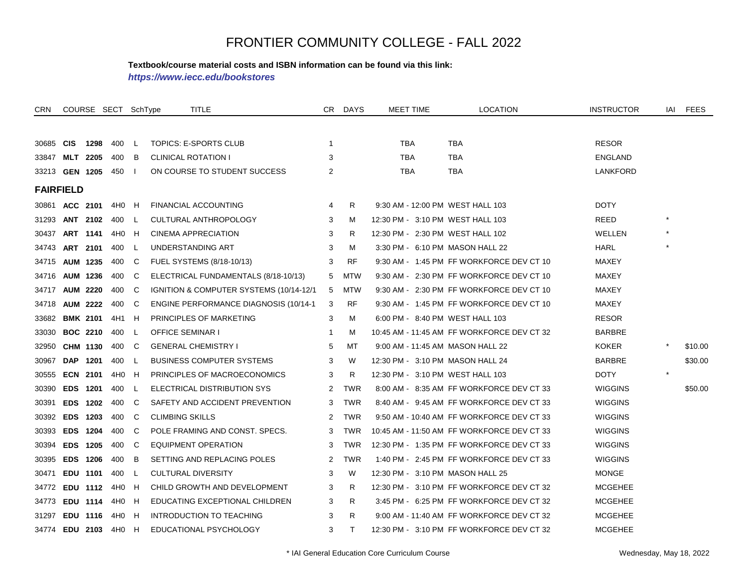#### **Textbook/course material costs and ISBN information can be found via this link:**

*https://www.iecc.edu/bookstores*

| CRN                |                 |                 | COURSE SECT SchType |          | TITLE                                         |                | CR DAYS    | <b>MEET TIME</b>                 | LOCATION                                   | <b>INSTRUCTOR</b> |         | IAI FEES |
|--------------------|-----------------|-----------------|---------------------|----------|-----------------------------------------------|----------------|------------|----------------------------------|--------------------------------------------|-------------------|---------|----------|
|                    |                 |                 |                     |          |                                               |                |            |                                  |                                            |                   |         |          |
| 30685              | <b>CIS</b>      | 1298            | 400                 | -L.      | TOPICS: E-SPORTS CLUB                         | $\overline{1}$ |            | <b>TBA</b>                       | <b>TBA</b>                                 | <b>RESOR</b>      |         |          |
| 33847              |                 | MLT 2205        | 400                 | В        | <b>CLINICAL ROTATION I</b>                    | 3              |            | <b>TBA</b>                       | <b>TBA</b>                                 | <b>ENGLAND</b>    |         |          |
| 33213 GEN 1205     |                 |                 | 450                 |          | ON COURSE TO STUDENT SUCCESS                  | 2              |            | <b>TBA</b>                       | TBA                                        | LANKFORD          |         |          |
| <b>FAIRFIELD</b>   |                 |                 |                     |          |                                               |                |            |                                  |                                            |                   |         |          |
| 30861              | ACC 2101        |                 | 4H0                 | H        | <b>FINANCIAL ACCOUNTING</b>                   | 4              | R.         | 9:30 AM - 12:00 PM WEST HALL 103 |                                            | <b>DOTY</b>       |         |          |
| 31293              |                 | <b>ANT 2102</b> | 400                 | -L       | CULTURAL ANTHROPOLOGY                         | 3              | м          | 12:30 PM - 3:10 PM WEST HALL 103 |                                            | <b>REED</b>       | $\star$ |          |
| 30437              |                 | ART 1141        | 4H0 H               |          | CINEMA APPRECIATION                           | 3              | R.         | 12:30 PM - 2:30 PM WEST HALL 102 |                                            | <b>WELLEN</b>     | $\star$ |          |
| 34743              | ART 2101        |                 | 400                 | L.       | UNDERSTANDING ART                             | 3              | м          | 3:30 PM - 6:10 PM MASON HALL 22  |                                            | HARL              |         |          |
| 34715              |                 | <b>AUM 1235</b> | 400                 | C        | FUEL SYSTEMS (8/18-10/13)                     | 3              | RF         |                                  | 9:30 AM - 1:45 PM FF WORKFORCE DEV CT 10   | MAXEY             |         |          |
| 34716              |                 | <b>AUM 1236</b> | 400                 | C        | ELECTRICAL FUNDAMENTALS (8/18-10/13)          | 5              | MTW        |                                  | 9:30 AM - 2:30 PM FF WORKFORCE DEV CT 10   | MAXEY             |         |          |
| 34717              |                 | <b>AUM 2220</b> | 400                 | C        | IGNITION & COMPUTER SYSTEMS (10/14-12/1       | 5              | MTW        |                                  | 9:30 AM - 2:30 PM FF WORKFORCE DEV CT 10   | <b>MAXEY</b>      |         |          |
| 34718              |                 | <b>AUM 2222</b> | 400                 | C        | <b>ENGINE PERFORMANCE DIAGNOSIS (10/14-1)</b> | 3              | RF         |                                  | 9:30 AM - 1:45 PM FF WORKFORCE DEV CT 10   | MAXEY             |         |          |
| 33682              |                 | <b>BMK 2101</b> | 4H1 H               |          | PRINCIPLES OF MARKETING                       | 3              | м          | 6:00 PM - 8:40 PM WEST HALL 103  |                                            | <b>RESOR</b>      |         |          |
| 33030              |                 | <b>BOC 2210</b> | 400                 | L        | <b>OFFICE SEMINAR I</b>                       | -1             | м          |                                  | 10:45 AM - 11:45 AM FF WORKFORCE DEV CT 32 | <b>BARBRE</b>     |         |          |
| 32950              |                 | CHM 1130        | 400                 | C.       | <b>GENERAL CHEMISTRY I</b>                    | 5              | МT         | 9:00 AM - 11:45 AM MASON HALL 22 |                                            | <b>KOKER</b>      |         | \$10.00  |
| 30967              |                 | DAP 1201        | 400                 | <b>L</b> | <b>BUSINESS COMPUTER SYSTEMS</b>              | 3              | W          | 12:30 PM - 3:10 PM MASON HALL 24 |                                            | <b>BARBRE</b>     |         | \$30.00  |
| 30555              | <b>ECN 2101</b> |                 | 4H0                 | H        | PRINCIPLES OF MACROECONOMICS                  | 3              | R.         | 12:30 PM - 3:10 PM WEST HALL 103 |                                            | <b>DOTY</b>       | $\star$ |          |
| 30390              |                 | EDS 1201        | 400                 | L        | ELECTRICAL DISTRIBUTION SYS                   | 2              | <b>TWR</b> |                                  | 8:00 AM - 8:35 AM FF WORKFORCE DEV CT 33   | <b>WIGGINS</b>    |         | \$50.00  |
| 30391              |                 | <b>EDS 1202</b> | 400                 | C        | SAFETY AND ACCIDENT PREVENTION                | 3              | <b>TWR</b> |                                  | 8:40 AM - 9:45 AM FF WORKFORCE DEV CT 33   | <b>WIGGINS</b>    |         |          |
| 30392 EDS 1203     |                 |                 | 400                 | C        | <b>CLIMBING SKILLS</b>                        | 2              | <b>TWR</b> |                                  | 9:50 AM - 10:40 AM FF WORKFORCE DEV CT 33  | <b>WIGGINS</b>    |         |          |
| 30393              | <b>EDS 1204</b> |                 | 400                 | C        | POLE FRAMING AND CONST. SPECS.                | 3              | <b>TWR</b> |                                  | 10:45 AM - 11:50 AM FF WORKFORCE DEV CT 33 | <b>WIGGINS</b>    |         |          |
| 30394              |                 | <b>EDS 1205</b> | 400                 | C        | EQUIPMENT OPERATION                           | 3              | TWR        |                                  | 12:30 PM - 1:35 PM FF WORKFORCE DEV CT 33  | <b>WIGGINS</b>    |         |          |
| 30395              |                 | <b>EDS 1206</b> | 400                 | В        | SETTING AND REPLACING POLES                   | 2              | <b>TWR</b> |                                  | 1:40 PM - 2:45 PM FF WORKFORCE DEV CT 33   | <b>WIGGINS</b>    |         |          |
| 30471              |                 | EDU 1101        | 400                 | L        | <b>CULTURAL DIVERSITY</b>                     | 3              | W          | 12:30 PM - 3:10 PM MASON HALL 25 |                                            | <b>MONGE</b>      |         |          |
| 34772              |                 | EDU 1112        | 4H0                 | H        | CHILD GROWTH AND DEVELOPMENT                  | 3              | R          |                                  | 12:30 PM - 3:10 PM FF WORKFORCE DEV CT 32  | <b>MCGEHEE</b>    |         |          |
| 34773              |                 | <b>EDU 1114</b> | 4H0                 | H        | EDUCATING EXCEPTIONAL CHILDREN                | 3              | R.         |                                  | 3:45 PM - 6:25 PM FF WORKFORCE DEV CT 32   | <b>MCGEHEE</b>    |         |          |
| 31297              |                 | EDU 1116        | 4H0 H               |          | INTRODUCTION TO TEACHING                      | 3              | R.         |                                  | 9:00 AM - 11:40 AM FF WORKFORCE DEV CT 32  | <b>MCGEHEE</b>    |         |          |
| 34774 EDU 2103 4H0 |                 |                 |                     | H        | EDUCATIONAL PSYCHOLOGY                        | 3              | T.         |                                  | 12:30 PM - 3:10 PM FF WORKFORCE DEV CT 32  | <b>MCGEHEE</b>    |         |          |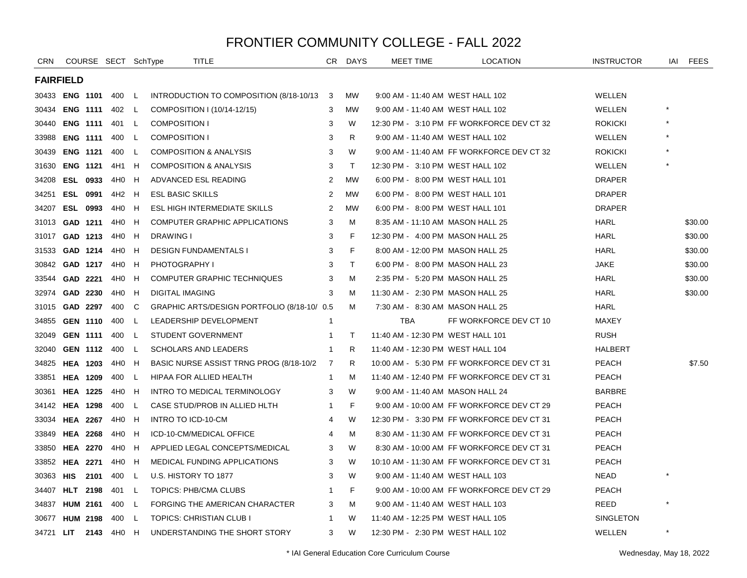| <b>CRN</b>       |                       |      | COURSE SECT SchType |             | TITLE                                       | CR.          | <b>DAYS</b> | <b>MEET TIME</b>                  | <b>LOCATION</b>                            | <b>INSTRUCTOR</b> | IAI      | FEES    |
|------------------|-----------------------|------|---------------------|-------------|---------------------------------------------|--------------|-------------|-----------------------------------|--------------------------------------------|-------------------|----------|---------|
| <b>FAIRFIELD</b> |                       |      |                     |             |                                             |              |             |                                   |                                            |                   |          |         |
|                  | 30433 <b>ENG 1101</b> |      | 400                 | - L         | INTRODUCTION TO COMPOSITION (8/18-10/13     | - 3          | <b>MW</b>   | 9:00 AM - 11:40 AM WEST HALL 102  |                                            | <b>WELLEN</b>     |          |         |
| 30434            | <b>ENG 1111</b>       |      | 402 L               |             | COMPOSITION I (10/14-12/15)                 | 3            | <b>MW</b>   | 9:00 AM - 11:40 AM WEST HALL 102  |                                            | WELLEN            |          |         |
| 30440            | <b>ENG 1111</b>       |      | 401 L               |             | <b>COMPOSITION I</b>                        | 3            | W           |                                   | 12:30 PM - 3:10 PM FF WORKFORCE DEV CT 32  | <b>ROKICKI</b>    |          |         |
| 33988            | <b>ENG 1111</b>       |      | 400                 | L           | <b>COMPOSITION I</b>                        | 3            | R.          | 9:00 AM - 11:40 AM WEST HALL 102  |                                            | WELLEN            |          |         |
| 30439            | <b>ENG 1121</b>       |      | 400                 | L.          | <b>COMPOSITION &amp; ANALYSIS</b>           | 3            | W           |                                   | 9:00 AM - 11:40 AM FF WORKFORCE DEV CT 32  | <b>ROKICKI</b>    |          |         |
| 31630            | <b>ENG 1121</b>       |      | 4H1                 | H           | <b>COMPOSITION &amp; ANALYSIS</b>           | 3            | T.          | 12:30 PM - 3:10 PM WEST HALL 102  |                                            | WELLEN            | $\star$  |         |
| 34208            | <b>ESL 0933</b>       |      | 4H0                 | H           | ADVANCED ESL READING                        | 2            | <b>MW</b>   | 6:00 PM - 8:00 PM WEST HALL 101   |                                            | <b>DRAPER</b>     |          |         |
| 34251            | <b>ESL 0991</b>       |      | 4H2                 | - H         | <b>ESL BASIC SKILLS</b>                     | 2            | <b>MW</b>   | 6:00 PM - 8:00 PM WEST HALL 101   |                                            | <b>DRAPER</b>     |          |         |
| 34207            | <b>ESL 0993</b>       |      | 4H <sub>0</sub>     | H           | ESL HIGH INTERMEDIATE SKILLS                | 2            | <b>MW</b>   | 6:00 PM - 8:00 PM WEST HALL 101   |                                            | <b>DRAPER</b>     |          |         |
| 31013            | GAD 1211              |      | 4H0                 | H           | COMPUTER GRAPHIC APPLICATIONS               | 3            | M           | 8:35 AM - 11:10 AM MASON HALL 25  |                                            | <b>HARL</b>       |          | \$30.00 |
| 31017            | GAD 1213              |      | 4H0                 | H           | DRAWING I                                   | 3            | F           | 12:30 PM - 4:00 PM MASON HALL 25  |                                            | <b>HARL</b>       |          | \$30.00 |
| 31533            | GAD 1214              |      | 4H0                 | H           | <b>DESIGN FUNDAMENTALS I</b>                | 3            | F           | 8:00 AM - 12:00 PM MASON HALL 25  |                                            | <b>HARL</b>       |          | \$30.00 |
| 30842            | GAD 1217              |      | 4H0                 | H           | <b>PHOTOGRAPHY I</b>                        | 3            | T.          | 6:00 PM - 8:00 PM MASON HALL 23   |                                            | <b>JAKE</b>       |          | \$30.00 |
| 33544            | GAD 2221              |      | 4H0                 | H           | COMPUTER GRAPHIC TECHNIQUES                 | 3            | M           | 2:35 PM - 5:20 PM MASON HALL 25   |                                            | <b>HARL</b>       |          | \$30.00 |
| 32974            | GAD 2230              |      | 4H0                 | H           | <b>DIGITAL IMAGING</b>                      | 3            | м           | 11:30 AM - 2:30 PM MASON HALL 25  |                                            | <b>HARL</b>       |          | \$30.00 |
| 31015            | GAD 2297              |      | 400                 | C           | GRAPHIC ARTS/DESIGN PORTFOLIO (8/18-10/ 0.5 |              | м           | 7:30 AM - 8:30 AM MASON HALL 25   |                                            | <b>HARL</b>       |          |         |
| 34855            | <b>GEN 1110</b>       |      | 400                 | $\mathsf L$ | LEADERSHIP DEVELOPMENT                      | $\mathbf{1}$ |             | <b>TBA</b>                        | FF WORKFORCE DEV CT 10                     | MAXEY             |          |         |
| 32049            | <b>GEN 1111</b>       |      | 400                 | L.          | STUDENT GOVERNMENT                          | 1            | Τ           | 11:40 AM - 12:30 PM WEST HALL 101 |                                            | <b>RUSH</b>       |          |         |
| 32040            | <b>GEN 1112</b>       |      | 400                 | L.          | <b>SCHOLARS AND LEADERS</b>                 | $\mathbf{1}$ | R           | 11:40 AM - 12:30 PM WEST HALL 104 |                                            | HALBERT           |          |         |
| 34825            | <b>HEA 1203</b>       |      | 4H <sub>0</sub>     | H           | BASIC NURSE ASSIST TRNG PROG (8/18-10/2)    | 7            | R.          |                                   | 10:00 AM - 5:30 PM FF WORKFORCE DEV CT 31  | <b>PEACH</b>      |          | \$7.50  |
| 33851            | <b>HEA 1209</b>       |      | 400                 | <b>L</b>    | HIPAA FOR ALLIED HEALTH                     | 1            | м           |                                   | 11:40 AM - 12:40 PM FF WORKFORCE DEV CT 31 | <b>PEACH</b>      |          |         |
| 30361            | <b>HEA 1225</b>       |      | 4H0                 | H           | INTRO TO MEDICAL TERMINOLOGY                | 3            | W           | 9:00 AM - 11:40 AM MASON HALL 24  |                                            | <b>BARBRE</b>     |          |         |
|                  | 34142 HEA 1298        |      | 400                 | L           | CASE STUD/PROB IN ALLIED HLTH               | 1            | F           |                                   | 9:00 AM - 10:00 AM FF WORKFORCE DEV CT 29  | <b>PEACH</b>      |          |         |
| 33034            | <b>HEA 2267</b>       |      | 4H0                 | H           | INTRO TO ICD-10-CM                          | 4            | W           |                                   | 12:30 PM - 3:30 PM FF WORKFORCE DEV CT 31  | <b>PEACH</b>      |          |         |
| 33849            | <b>HEA 2268</b>       |      | 4H0                 | H           | ICD-10-CM/MEDICAL OFFICE                    | 4            | м           |                                   | 8:30 AM - 11:30 AM FF WORKFORCE DEV CT 31  | <b>PEACH</b>      |          |         |
| 33850            | <b>HEA 2270</b>       |      | 4H0                 | H           | APPLIED LEGAL CONCEPTS/MEDICAL              | 3            | W           |                                   | 8:30 AM - 10:00 AM FF WORKFORCE DEV CT 31  | <b>PEACH</b>      |          |         |
|                  | 33852 HEA 2271        |      | 4H0                 | H           | MEDICAL FUNDING APPLICATIONS                | 3            | W           |                                   | 10:10 AM - 11:30 AM FF WORKFORCE DEV CT 31 | <b>PEACH</b>      |          |         |
| 30363 HIS        |                       | 2101 | 400                 | L           | U.S. HISTORY TO 1877                        | 3            | W           | 9:00 AM - 11:40 AM WEST HALL 103  |                                            | <b>NEAD</b>       | $\star$  |         |
| 34407            | <b>HLT 2198</b>       |      | 401 L               |             | TOPICS: PHB/CMA CLUBS                       | 1            | F.          |                                   | 9:00 AM - 10:00 AM FF WORKFORCE DEV CT 29  | <b>PEACH</b>      |          |         |
| 34837            | <b>HUM 2161</b>       |      | 400                 | -L          | FORGING THE AMERICAN CHARACTER              | 3            | м           | 9:00 AM - 11:40 AM WEST HALL 103  |                                            | REED              | $^\star$ |         |
| 30677            | <b>HUM 2198</b>       |      | 400                 | L           | <b>TOPICS: CHRISTIAN CLUB I</b>             | 1            | W           | 11:40 AM - 12:25 PM WEST HALL 105 |                                            | SINGLETON         |          |         |
| 34721 LIT        |                       | 2143 | 4H0                 | H           | UNDERSTANDING THE SHORT STORY               | 3            | W           | 12:30 PM - 2:30 PM WEST HALL 102  |                                            | WELLEN            | $\star$  |         |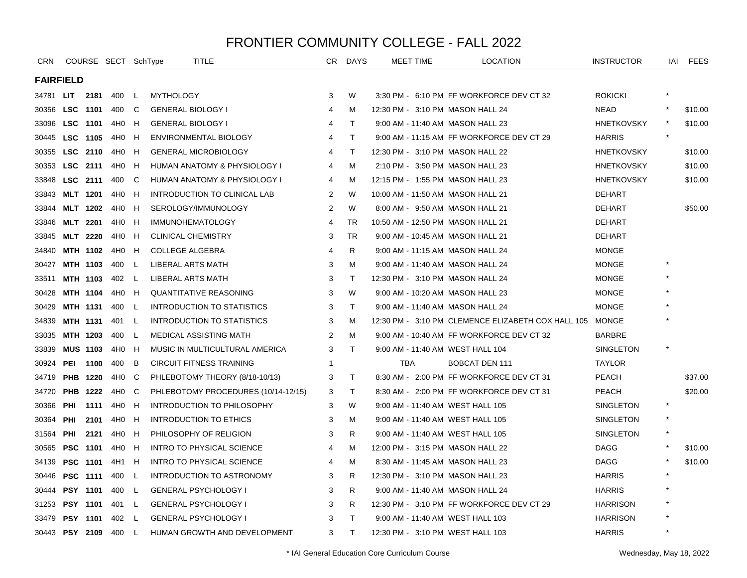| <b>CRN</b>       |                 |                 | COURSE SECT SchType |          | TITLE                               | CR             | <b>DAYS</b>  | <b>MEET TIME</b>                  | <b>LOCATION</b>                                    | <b>INSTRUCTOR</b> | iai     | FEES    |
|------------------|-----------------|-----------------|---------------------|----------|-------------------------------------|----------------|--------------|-----------------------------------|----------------------------------------------------|-------------------|---------|---------|
| <b>FAIRFIELD</b> |                 |                 |                     |          |                                     |                |              |                                   |                                                    |                   |         |         |
| 34781 <b>LIT</b> |                 | 2181            | 400                 | L.       | <b>MYTHOLOGY</b>                    | 3              | W            |                                   | 3:30 PM - 6:10 PM FF WORKFORCE DEV CT 32           | <b>ROKICKI</b>    |         |         |
| 30356            | LSC 1101        |                 | 400                 | C        | <b>GENERAL BIOLOGY I</b>            | $\overline{4}$ | M            | 12:30 PM - 3:10 PM MASON HALL 24  |                                                    | <b>NEAD</b>       |         | \$10.00 |
| 33096            | LSC 1101        |                 | 4H0                 | H        | <b>GENERAL BIOLOGY I</b>            | $\overline{4}$ | $\mathsf{T}$ | 9:00 AM - 11:40 AM MASON HALL 23  |                                                    | <b>HNETKOVSKY</b> |         | \$10.00 |
| 30445            | LSC 1105        |                 | 4H <sub>0</sub>     | H        | ENVIRONMENTAL BIOLOGY               | $\overline{4}$ | T            |                                   | 9:00 AM - 11:15 AM FF WORKFORCE DEV CT 29          | <b>HARRIS</b>     | $\star$ |         |
| 30355            | LSC 2110        |                 | 4H <sub>0</sub>     | H        | <b>GENERAL MICROBIOLOGY</b>         | $\overline{4}$ | $\mathsf{T}$ | 12:30 PM - 3:10 PM MASON HALL 22  |                                                    | <b>HNETKOVSKY</b> |         | \$10.00 |
| 30353            | LSC 2111        |                 | 4H <sub>0</sub>     | H        | HUMAN ANATOMY & PHYSIOLOGY I        | $\overline{4}$ | M            | 2:10 PM - 3:50 PM MASON HALL 23   |                                                    | <b>HNETKOVSKY</b> |         | \$10.00 |
| 33848            | LSC 2111        |                 | 400                 | C        | HUMAN ANATOMY & PHYSIOLOGY I        | 4              | M            | 12:15 PM - 1:55 PM MASON HALL 23  |                                                    | <b>HNETKOVSKY</b> |         | \$10.00 |
| 33843            | <b>MLT 1201</b> |                 | 4H0                 | H        | INTRODUCTION TO CLINICAL LAB        | 2              | W            | 10:00 AM - 11:50 AM MASON HALL 21 |                                                    | <b>DEHART</b>     |         |         |
| 33844            | <b>MLT 1202</b> |                 | 4H0                 | H        | SEROLOGY/IMMUNOLOGY                 | 2              | W            | 8:00 AM - 9:50 AM MASON HALL 21   |                                                    | <b>DEHART</b>     |         | \$50.00 |
| 33846            | <b>MLT 2201</b> |                 | 4H0                 | H        | <b>IMMUNOHEMATOLOGY</b>             | 4              | <b>TR</b>    | 10:50 AM - 12:50 PM MASON HALL 21 |                                                    | <b>DEHART</b>     |         |         |
| 33845            | <b>MLT 2220</b> |                 | 4H0                 | H        | <b>CLINICAL CHEMISTRY</b>           | 3              | <b>TR</b>    | 9:00 AM - 10:45 AM MASON HALL 21  |                                                    | <b>DEHART</b>     |         |         |
| 34840            |                 | MTH 1102        | 4H0                 | H        | <b>COLLEGE ALGEBRA</b>              | 4              | R            | 9:00 AM - 11:15 AM MASON HALL 24  |                                                    | <b>MONGE</b>      |         |         |
| 30427            |                 | <b>MTH 1103</b> | 400                 | <b>L</b> | LIBERAL ARTS MATH                   | 3              | м            | 9:00 AM - 11:40 AM MASON HALL 24  |                                                    | <b>MONGE</b>      |         |         |
| 33511            | <b>MTH 1103</b> |                 | 402                 | L        | LIBERAL ARTS MATH                   | 3              | $\top$       | 12:30 PM - 3:10 PM MASON HALL 24  |                                                    | <b>MONGE</b>      |         |         |
| 30428            | MTH 1104        |                 | 4H <sub>0</sub>     | H        | <b>QUANTITATIVE REASONING</b>       | 3              | W            | 9:00 AM - 10:20 AM MASON HALL 23  |                                                    | <b>MONGE</b>      |         |         |
| 30429            | <b>MTH 1131</b> |                 | 400                 | L.       | INTRODUCTION TO STATISTICS          | 3              | $\mathsf{T}$ | 9:00 AM - 11:40 AM MASON HALL 24  |                                                    | <b>MONGE</b>      |         |         |
| 34839            | <b>MTH 1131</b> |                 | 401                 | L        | <b>INTRODUCTION TO STATISTICS</b>   | 3              | м            |                                   | 12:30 PM - 3:10 PM CLEMENCE ELIZABETH COX HALL 105 | <b>MONGE</b>      |         |         |
| 33035            | MTH 1203        |                 | 400                 | L        | <b>MEDICAL ASSISTING MATH</b>       | 2              | M            |                                   | 9:00 AM - 10:40 AM FF WORKFORCE DEV CT 32          | <b>BARBRE</b>     |         |         |
| 33839            | <b>MUS 1103</b> |                 | 4H0 H               |          | MUSIC IN MULTICULTURAL AMERICA      | 3              | $\mathsf{T}$ | 9:00 AM - 11:40 AM WEST HALL 104  |                                                    | SINGLETON         |         |         |
| 30924            | PEI             | 1100            | 400                 | B        | <b>CIRCUIT FITNESS TRAINING</b>     | $\mathbf 1$    |              | <b>TBA</b>                        | BOBCAT DEN 111                                     | <b>TAYLOR</b>     |         |         |
| 34719            | <b>PHB</b>      | 1220            | 4H <sub>0</sub>     | C        | PHLEBOTOMY THEORY (8/18-10/13)      | 3              | $\mathsf{T}$ |                                   | 8:30 AM - 2:00 PM FF WORKFORCE DEV CT 31           | <b>PEACH</b>      |         | \$37.00 |
| 34720            | <b>PHB</b>      | 1222            | 4H0                 | C        | PHLEBOTOMY PROCEDURES (10/14-12/15) | 3              | $\mathsf{T}$ |                                   | 8:30 AM - 2:00 PM FF WORKFORCE DEV CT 31           | <b>PEACH</b>      |         | \$20.00 |
| 30366            | PHI             | 1111            | 4H0                 | H        | INTRODUCTION TO PHILOSOPHY          | 3              | W            | 9:00 AM - 11:40 AM WEST HALL 105  |                                                    | <b>SINGLETON</b>  | $\star$ |         |
| 30364            | <b>PHI</b>      | 2101            | 4H0                 | H        | INTRODUCTION TO ETHICS              | 3              | м            | 9:00 AM - 11:40 AM WEST HALL 105  |                                                    | SINGLETON         |         |         |
| 31564            | PHI             | 2121            | 4H0                 | H        | PHILOSOPHY OF RELIGION              | 3              | R            | 9:00 AM - 11:40 AM WEST HALL 105  |                                                    | SINGLETON         |         |         |
| 30565            | <b>PSC 1101</b> |                 | 4H0                 | H        | <b>INTRO TO PHYSICAL SCIENCE</b>    | $\overline{4}$ | М            | 12:00 PM - 3:15 PM MASON HALL 22  |                                                    | <b>DAGG</b>       |         | \$10.00 |
| 34139            | <b>PSC 1101</b> |                 | 4H1                 | H        | <b>INTRO TO PHYSICAL SCIENCE</b>    | 4              | M            | 8:30 AM - 11:45 AM MASON HALL 23  |                                                    | <b>DAGG</b>       |         | \$10.00 |
| 30446            | <b>PSC 1111</b> |                 | 400                 | L        | INTRODUCTION TO ASTRONOMY           | 3              | R            | 12:30 PM - 3:10 PM MASON HALL 23  |                                                    | <b>HARRIS</b>     |         |         |
| 30444            | <b>PSY 1101</b> |                 | 400                 | L.       | <b>GENERAL PSYCHOLOGY I</b>         | 3              | R.           | 9:00 AM - 11:40 AM MASON HALL 24  |                                                    | <b>HARRIS</b>     |         |         |
| 31253            | <b>PSY 1101</b> |                 | 401                 | L.       | <b>GENERAL PSYCHOLOGY I</b>         | 3              | R.           |                                   | 12:30 PM - 3:10 PM FF WORKFORCE DEV CT 29          | <b>HARRISON</b>   |         |         |
| 33479            | <b>PSY 1101</b> |                 | 402                 | L        | <b>GENERAL PSYCHOLOGY I</b>         | 3              | T            | 9:00 AM - 11:40 AM WEST HALL 103  |                                                    | <b>HARRISON</b>   |         |         |
| 30443 PSY 2109   |                 |                 | 400                 | L        | HUMAN GROWTH AND DEVELOPMENT        | 3              | $\mathsf{T}$ | 12:30 PM - 3:10 PM WEST HALL 103  |                                                    | <b>HARRIS</b>     | $\star$ |         |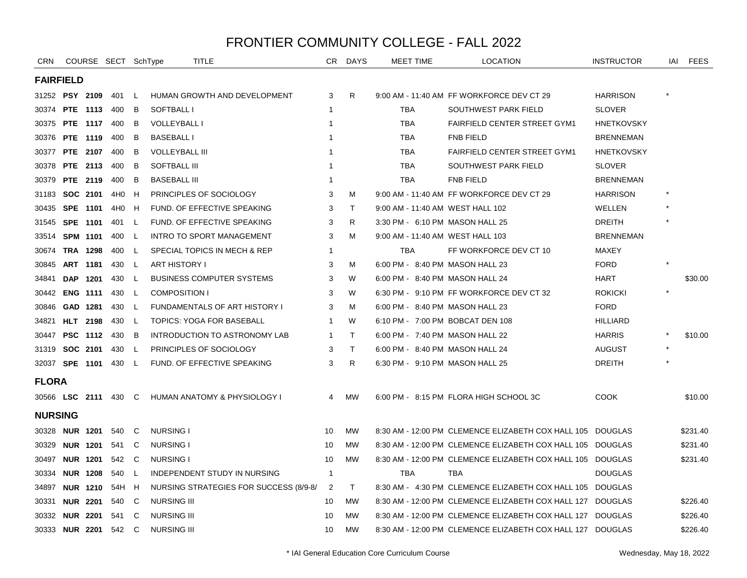| <b>CRN</b>           |            | COURSE SECT SchType |                 |    | TITLE                                  | CR.            | DAYS         | MEET TIME                        | <b>LOCATION</b>                                            | <b>INSTRUCTOR</b> | IAI | <b>FEES</b> |
|----------------------|------------|---------------------|-----------------|----|----------------------------------------|----------------|--------------|----------------------------------|------------------------------------------------------------|-------------------|-----|-------------|
| <b>FAIRFIELD</b>     |            |                     |                 |    |                                        |                |              |                                  |                                                            |                   |     |             |
| 31252 PSY 2109       |            |                     | 401             | L. | HUMAN GROWTH AND DEVELOPMENT           | 3              | R            |                                  | 9:00 AM - 11:40 AM FF WORKFORCE DEV CT 29                  | <b>HARRISON</b>   |     |             |
| 30374                |            | <b>PTE 1113</b>     | 400             | B  | SOFTBALL I                             | $\mathbf 1$    |              | <b>TBA</b>                       | SOUTHWEST PARK FIELD                                       | <b>SLOVER</b>     |     |             |
| 30375                |            | <b>PTE 1117</b>     | 400             | B  | <b>VOLLEYBALL I</b>                    | -1             |              | <b>TBA</b>                       | <b>FAIRFIELD CENTER STREET GYM1</b>                        | <b>HNETKOVSKY</b> |     |             |
| 30376                |            | <b>PTE 1119</b>     | 400             | B  | <b>BASEBALL I</b>                      |                |              | <b>TBA</b>                       | <b>FNB FIELD</b>                                           | <b>BRENNEMAN</b>  |     |             |
| 30377                |            | <b>PTE 2107</b>     | 400             | B  | <b>VOLLEYBALL III</b>                  | -1             |              | <b>TBA</b>                       | FAIRFIELD CENTER STREET GYM1                               | <b>HNETKOVSKY</b> |     |             |
| 30378                |            | <b>PTE 2113</b>     | 400             | B  | <b>SOFTBALL III</b>                    | $\mathbf 1$    |              | <b>TBA</b>                       | SOUTHWEST PARK FIELD                                       | <b>SLOVER</b>     |     |             |
| 30379                |            | PTE 2119            | 400             | B  | <b>BASEBALL III</b>                    | -1             |              | <b>TBA</b>                       | <b>FNB FIELD</b>                                           | <b>BRENNEMAN</b>  |     |             |
| 31183                |            | SOC 2101            | 4H <sub>0</sub> | н  | PRINCIPLES OF SOCIOLOGY                | 3              | м            |                                  | 9:00 AM - 11:40 AM FF WORKFORCE DEV CT 29                  | <b>HARRISON</b>   |     |             |
| 30435                |            | SPE 1101            | 4H <sub>0</sub> | H  | FUND. OF EFFECTIVE SPEAKING            | 3              | $\top$       | 9:00 AM - 11:40 AM WEST HALL 102 |                                                            | WELLEN            |     |             |
| 31545                | SPE 1101   |                     | 401             | L  | FUND. OF EFFECTIVE SPEAKING            | 3              | R            | 3:30 PM - 6:10 PM MASON HALL 25  |                                                            | DREITH            |     |             |
| 33514                |            | <b>SPM 1101</b>     | 400             | L  | <b>INTRO TO SPORT MANAGEMENT</b>       | 3              | M            | 9:00 AM - 11:40 AM WEST HALL 103 |                                                            | <b>BRENNEMAN</b>  |     |             |
| 30674                |            | <b>TRA 1298</b>     | 400             | L. | SPECIAL TOPICS IN MECH & REP           | $\mathbf 1$    |              | TBA                              | FF WORKFORCE DEV CT 10                                     | MAXEY             |     |             |
| 30845                |            | ART 1181            | 430             | L  | <b>ART HISTORY I</b>                   | 3              | м            | 6:00 PM - 8:40 PM MASON HALL 23  |                                                            | <b>FORD</b>       |     |             |
| 34841                | <b>DAP</b> | 1201                | 430             | L  | <b>BUSINESS COMPUTER SYSTEMS</b>       | 3              | W            | 6:00 PM - 8:40 PM MASON HALL 24  |                                                            | <b>HART</b>       |     | \$30.00     |
| 30442                |            | <b>ENG 1111</b>     | 430             | L. | <b>COMPOSITION I</b>                   | 3              | W            |                                  | 6:30 PM - 9:10 PM FF WORKFORCE DEV CT 32                   | <b>ROKICKI</b>    |     |             |
| 30846                |            | GAD 1281            | 430             | L  | FUNDAMENTALS OF ART HISTORY I          | 3              | M            | 6:00 PM - 8:40 PM MASON HALL 23  |                                                            | <b>FORD</b>       |     |             |
| 34821                |            | <b>HLT</b> 2198     | 430             | L. | TOPICS: YOGA FOR BASEBALL              | $\mathbf 1$    | W            | 6:10 PM - 7:00 PM BOBCAT DEN 108 |                                                            | <b>HILLIARD</b>   |     |             |
| 30447                |            | <b>PSC 1112</b>     | 430             | B  | INTRODUCTION TO ASTRONOMY LAB          | $\mathbf 1$    | $\top$       | 6:00 PM - 7:40 PM MASON HALL 22  |                                                            | <b>HARRIS</b>     |     | \$10.00     |
| 31319                |            | SOC 2101            | 430             | L  | PRINCIPLES OF SOCIOLOGY                | 3              | $\mathsf{T}$ | 6:00 PM - 8:40 PM MASON HALL 24  |                                                            | <b>AUGUST</b>     |     |             |
| 32037 SPE 1101       |            |                     | 430             | L  | FUND. OF EFFECTIVE SPEAKING            | 3              | R            | 6:30 PM - 9:10 PM MASON HALL 25  |                                                            | <b>DREITH</b>     |     |             |
| <b>FLORA</b>         |            |                     |                 |    |                                        |                |              |                                  |                                                            |                   |     |             |
| 30566 LSC 2111 430 C |            |                     |                 |    | HUMAN ANATOMY & PHYSIOLOGY I           | $\overline{4}$ | <b>MW</b>    |                                  | 6:00 PM - 8:15 PM FLORA HIGH SCHOOL 3C                     | <b>COOK</b>       |     | \$10.00     |
| <b>NURSING</b>       |            |                     |                 |    |                                        |                |              |                                  |                                                            |                   |     |             |
| 30328 NUR 1201       |            |                     | 540             | C  | <b>NURSING I</b>                       | 10             | <b>MW</b>    |                                  | 8:30 AM - 12:00 PM CLEMENCE ELIZABETH COX HALL 105         | DOUGLAS           |     | \$231.40    |
| 30329                |            | <b>NUR 1201</b>     | 541             | C  | <b>NURSING I</b>                       | 10             | <b>MW</b>    |                                  | 8:30 AM - 12:00 PM CLEMENCE ELIZABETH COX HALL 105         | DOUGLAS           |     | \$231.40    |
| 30497                |            | <b>NUR 1201</b>     | 542             | C  | <b>NURSING I</b>                       | 10             | <b>MW</b>    |                                  | 8:30 AM - 12:00 PM CLEMENCE ELIZABETH COX HALL 105         | DOUGLAS           |     | \$231.40    |
| 30334                |            | <b>NUR 1208</b>     | 540             | L  | INDEPENDENT STUDY IN NURSING           | $\overline{1}$ |              | <b>TBA</b>                       | <b>TBA</b>                                                 | <b>DOUGLAS</b>    |     |             |
| 34897                |            | <b>NUR 1210</b>     | 54H             | H  | NURSING STRATEGIES FOR SUCCESS (8/9-8/ | $\overline{2}$ | $\top$       |                                  | 8:30 AM - 4:30 PM CLEMENCE ELIZABETH COX HALL 105          | DOUGLAS           |     |             |
| 30331                |            | <b>NUR 2201</b>     | 540             | C  | <b>NURSING III</b>                     | 10             | <b>MW</b>    |                                  | 8:30 AM - 12:00 PM CLEMENCE ELIZABETH COX HALL 127         | DOUGLAS           |     | \$226.40    |
| 30332                |            | <b>NUR 2201</b>     | 541             | C  | <b>NURSING III</b>                     | 10             | <b>MW</b>    |                                  | 8:30 AM - 12:00 PM CLEMENCE ELIZABETH COX HALL 127         | DOUGLAS           |     | \$226.40    |
| 30333 NUR 2201 542   |            |                     |                 | C  | <b>NURSING III</b>                     | 10             | <b>MW</b>    |                                  | 8:30 AM - 12:00 PM CLEMENCE ELIZABETH COX HALL 127 DOUGLAS |                   |     | \$226.40    |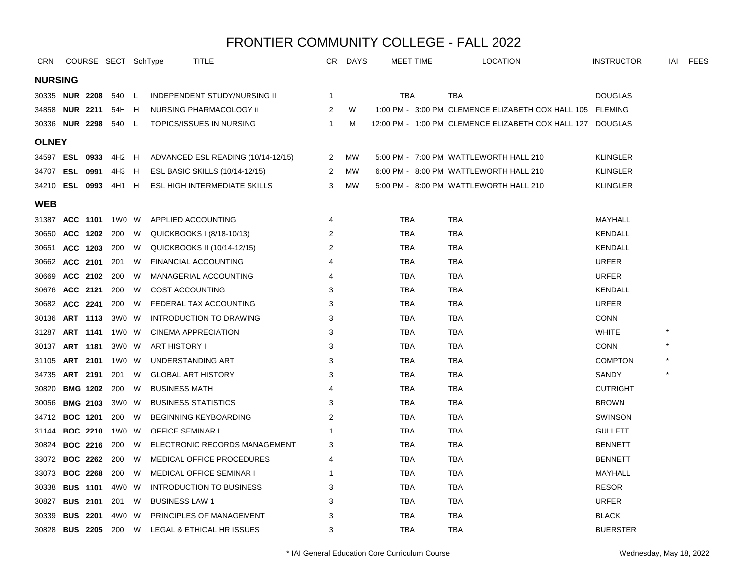| <b>CRN</b>            |                 | COURSE SECT SchType         |    | TITLE                               |              | CR DAYS   | <b>MEET TIME</b> | <b>LOCATION</b>                                            | <b>INSTRUCTOR</b> | IAI | <b>FEES</b> |
|-----------------------|-----------------|-----------------------------|----|-------------------------------------|--------------|-----------|------------------|------------------------------------------------------------|-------------------|-----|-------------|
| <b>NURSING</b>        |                 |                             |    |                                     |              |           |                  |                                                            |                   |     |             |
| 30335 <b>NUR 2208</b> |                 | 540 L                       |    | <b>INDEPENDENT STUDY/NURSING II</b> | 1            |           | TBA              | TBA                                                        | <b>DOUGLAS</b>    |     |             |
| 34858 <b>NUR 2211</b> |                 | 54H H                       |    | NURSING PHARMACOLOGY ii             | 2            | W         |                  | 1:00 PM - 3:00 PM CLEMENCE ELIZABETH COX HALL 105 FLEMING  |                   |     |             |
| 30336                 | <b>NUR 2298</b> | 540                         | L. | TOPICS/ISSUES IN NURSING            | $\mathbf{1}$ | м         |                  | 12:00 PM - 1:00 PM CLEMENCE ELIZABETH COX HALL 127 DOUGLAS |                   |     |             |
| <b>OLNEY</b>          |                 |                             |    |                                     |              |           |                  |                                                            |                   |     |             |
| 34597 ESL 0933        |                 | 4H2 H                       |    | ADVANCED ESL READING (10/14-12/15)  | 2            | MW        |                  | 5:00 PM - 7:00 PM WATTLEWORTH HALL 210                     | <b>KLINGLER</b>   |     |             |
| 34707 ESL 0991        |                 | 4H3                         | H  | ESL BASIC SKILLS (10/14-12/15)      | 2            | <b>MW</b> |                  | 6:00 PM - 8:00 PM WATTLEWORTH HALL 210                     | <b>KLINGLER</b>   |     |             |
|                       |                 | 34210 <b>ESL 0993</b> 4H1 H |    | ESL HIGH INTERMEDIATE SKILLS        | 3            | МW        |                  | 5:00 PM - 8:00 PM WATTLEWORTH HALL 210                     | <b>KLINGLER</b>   |     |             |
| <b>WEB</b>            |                 |                             |    |                                     |              |           |                  |                                                            |                   |     |             |
| 31387                 | ACC 1101        | 1W0 W                       |    | APPLIED ACCOUNTING                  | 4            |           | TBA              | TBA                                                        | MAYHALL           |     |             |
| 30650                 | <b>ACC 1202</b> | 200                         | W  | QUICKBOOKS I (8/18-10/13)           | 2            |           | <b>TBA</b>       | <b>TBA</b>                                                 | KENDALL           |     |             |
| 30651                 | ACC 1203        | 200                         | W  | QUICKBOOKS II (10/14-12/15)         | 2            |           | TBA              | TBA                                                        | KENDALL           |     |             |
| 30662                 | ACC 2101        | 201                         | W  | <b>FINANCIAL ACCOUNTING</b>         | 4            |           | TBA              | TBA                                                        | <b>URFER</b>      |     |             |
| 30669                 | ACC 2102        | 200                         | W  | MANAGERIAL ACCOUNTING               | 4            |           | TBA              | <b>TBA</b>                                                 | <b>URFER</b>      |     |             |
| 30676                 | ACC 2121        | 200                         | W  | <b>COST ACCOUNTING</b>              | 3            |           | TBA              | <b>TBA</b>                                                 | <b>KENDALL</b>    |     |             |
| 30682                 | ACC 2241        | 200                         | W  | FEDERAL TAX ACCOUNTING              | 3            |           | <b>TBA</b>       | <b>TBA</b>                                                 | <b>URFER</b>      |     |             |
| 30136                 | ART 1113        | 3W0 W                       |    | <b>INTRODUCTION TO DRAWING</b>      | 3            |           | TBA              | <b>TBA</b>                                                 | <b>CONN</b>       |     |             |
| 31287                 | ART 1141        | 1W0 W                       |    | <b>CINEMA APPRECIATION</b>          | 3            |           | TBA              | TBA                                                        | <b>WHITE</b>      |     |             |
| 30137                 | ART 1181        | 3W0 W                       |    | ART HISTORY I                       | 3            |           | TBA              | <b>TBA</b>                                                 | <b>CONN</b>       |     |             |
| 31105                 | ART 2101        | 1W0 W                       |    | UNDERSTANDING ART                   | 3            |           | TBA              | <b>TBA</b>                                                 | <b>COMPTON</b>    |     |             |
| 34735                 | ART 2191        | 201                         | W  | <b>GLOBAL ART HISTORY</b>           | 3            |           | TBA              | TBA                                                        | SANDY             |     |             |
| 30820                 | <b>BMG 1202</b> | 200                         | W  | <b>BUSINESS MATH</b>                | 4            |           | <b>TBA</b>       | <b>TBA</b>                                                 | <b>CUTRIGHT</b>   |     |             |
| 30056                 | <b>BMG 2103</b> | 3W0 W                       |    | <b>BUSINESS STATISTICS</b>          | 3            |           | TBA              | TBA                                                        | <b>BROWN</b>      |     |             |
| 34712                 | <b>BOC 1201</b> | 200                         | W  | <b>BEGINNING KEYBOARDING</b>        | 2            |           | TBA              | TBA                                                        | <b>SWINSON</b>    |     |             |
| 31144                 | <b>BOC 2210</b> | 1W0 W                       |    | <b>OFFICE SEMINAR I</b>             | 1            |           | <b>TBA</b>       | <b>TBA</b>                                                 | <b>GULLETT</b>    |     |             |
| 30824                 | <b>BOC 2216</b> | 200                         | W  | ELECTRONIC RECORDS MANAGEMENT       | 3            |           | TBA              | <b>TBA</b>                                                 | <b>BENNETT</b>    |     |             |
| 33072                 | <b>BOC 2262</b> | 200                         | W  | MEDICAL OFFICE PROCEDURES           | 4            |           | TBA              | TBA                                                        | <b>BENNETT</b>    |     |             |
| 33073                 | <b>BOC 2268</b> | 200                         | W  | <b>MEDICAL OFFICE SEMINAR I</b>     | 1            |           | <b>TBA</b>       | <b>TBA</b>                                                 | MAYHALL           |     |             |
| 30338                 | <b>BUS 1101</b> | 4W0 W                       |    | <b>INTRODUCTION TO BUSINESS</b>     | 3            |           | TBA              | TBA                                                        | <b>RESOR</b>      |     |             |
| 30827                 | <b>BUS 2101</b> | 201                         | W  | <b>BUSINESS LAW 1</b>               | 3            |           | TBA              | <b>TBA</b>                                                 | <b>URFER</b>      |     |             |
| 30339                 | <b>BUS 2201</b> | 4W0 W                       |    | PRINCIPLES OF MANAGEMENT            | 3            |           | TBA              | <b>TBA</b>                                                 | <b>BLACK</b>      |     |             |
| 30828                 | <b>BUS 2205</b> | 200                         | W  | LEGAL & ETHICAL HR ISSUES           | 3            |           | TBA              | <b>TBA</b>                                                 | <b>BUERSTER</b>   |     |             |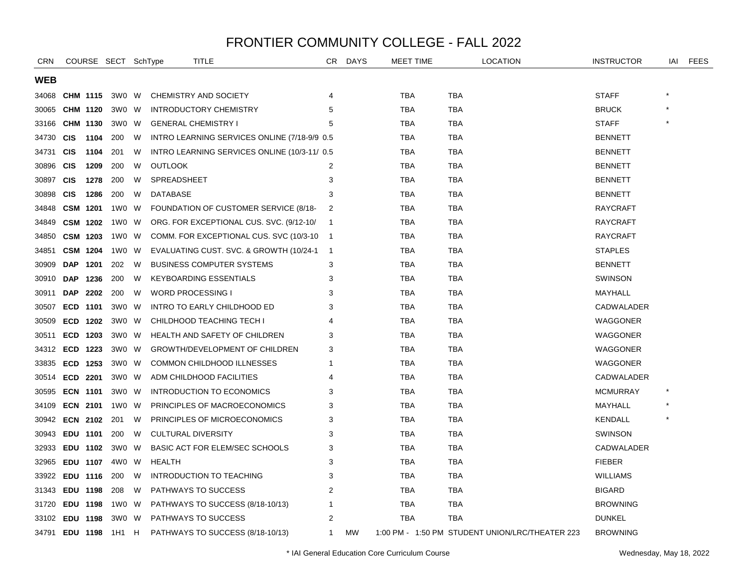| <b>CRN</b>     |                 |                 | COURSE SECT SchType |   | TITLE                                         |                | CR DAYS   | MEET TIME  | <b>LOCATION</b>                                 | <b>INSTRUCTOR</b> | IAI | <b>FEES</b> |
|----------------|-----------------|-----------------|---------------------|---|-----------------------------------------------|----------------|-----------|------------|-------------------------------------------------|-------------------|-----|-------------|
| WEB            |                 |                 |                     |   |                                               |                |           |            |                                                 |                   |     |             |
| 34068          | CHM 1115        |                 | 3W0 W               |   | CHEMISTRY AND SOCIETY                         | 4              |           | TBA        | <b>TBA</b>                                      | <b>STAFF</b>      |     |             |
| 30065          | CHM 1120        |                 | 3W0 W               |   | <b>INTRODUCTORY CHEMISTRY</b>                 | 5              |           | <b>TBA</b> | <b>TBA</b>                                      | <b>BRUCK</b>      |     |             |
| 33166          |                 | CHM 1130        | 3W0 W               |   | <b>GENERAL CHEMISTRY I</b>                    | 5              |           | TBA        | TBA                                             | <b>STAFF</b>      |     |             |
| 34730          | <b>CIS</b>      | 1104            | 200                 | W | INTRO LEARNING SERVICES ONLINE (7/18-9/9 0.5) |                |           | TBA        | TBA                                             | <b>BENNETT</b>    |     |             |
| 34731          | <b>CIS</b>      | 1104            | 201                 | W | INTRO LEARNING SERVICES ONLINE (10/3-11/ 0.5) |                |           | TBA        | <b>TBA</b>                                      | <b>BENNETT</b>    |     |             |
| 30896          | <b>CIS</b>      | 1209            | 200                 | W | <b>OUTLOOK</b>                                | 2              |           | <b>TBA</b> | <b>TBA</b>                                      | <b>BENNETT</b>    |     |             |
| 30897          | <b>CIS</b>      | 1278            | 200                 | W | <b>SPREADSHEET</b>                            | 3              |           | <b>TBA</b> | <b>TBA</b>                                      | <b>BENNETT</b>    |     |             |
| 30898          | <b>CIS</b>      | 1286            | 200                 | W | <b>DATABASE</b>                               | 3              |           | TBA        | <b>TBA</b>                                      | <b>BENNETT</b>    |     |             |
| 34848          | <b>CSM 1201</b> |                 | 1W0                 | W | FOUNDATION OF CUSTOMER SERVICE (8/18-         | 2              |           | TBA        | <b>TBA</b>                                      | RAYCRAFT          |     |             |
| 34849          |                 | <b>CSM 1202</b> | 1W0 W               |   | ORG. FOR EXCEPTIONAL CUS. SVC. (9/12-10/      | $\overline{1}$ |           | TBA        | <b>TBA</b>                                      | <b>RAYCRAFT</b>   |     |             |
| 34850          | <b>CSM 1203</b> |                 | 1W0 W               |   | COMM. FOR EXCEPTIONAL CUS. SVC (10/3-10)      | $\overline{1}$ |           | <b>TBA</b> | <b>TBA</b>                                      | <b>RAYCRAFT</b>   |     |             |
| 34851          | <b>CSM 1204</b> |                 | 1W0 W               |   | EVALUATING CUST. SVC. & GROWTH (10/24-1       | $\overline{1}$ |           | TBA        | TBA                                             | <b>STAPLES</b>    |     |             |
| 30909          | DAP 1201        |                 | 202                 | W | <b>BUSINESS COMPUTER SYSTEMS</b>              | 3              |           | TBA        | TBA                                             | <b>BENNETT</b>    |     |             |
| 30910          | DAP             | 1236            | 200                 | W | <b>KEYBOARDING ESSENTIALS</b>                 | 3              |           | TBA        | TBA                                             | <b>SWINSON</b>    |     |             |
| 30911          | <b>DAP</b>      | 2202            | 200                 | W | <b>WORD PROCESSING I</b>                      | 3              |           | <b>TBA</b> | <b>TBA</b>                                      | MAYHALL           |     |             |
| 30507          | ECD 1101        |                 | 3W0 W               |   | INTRO TO EARLY CHILDHOOD ED                   | 3              |           | TBA        | <b>TBA</b>                                      | CADWALADER        |     |             |
| 30509          | ECD 1202        |                 | 3W0 W               |   | CHILDHOOD TEACHING TECH I                     | 4              |           | TBA        | TBA                                             | WAGGONER          |     |             |
| 30511          | ECD 1203        |                 | 3W0 W               |   | HEALTH AND SAFETY OF CHILDREN                 | 3              |           | TBA        | TBA                                             | WAGGONER          |     |             |
| 34312          | ECD 1223        |                 | 3W0 W               |   | GROWTH/DEVELOPMENT OF CHILDREN                | 3              |           | <b>TBA</b> | <b>TBA</b>                                      | WAGGONER          |     |             |
| 33835          | ECD 1253        |                 | 3W0 W               |   | COMMON CHILDHOOD ILLNESSES                    | 1              |           | <b>TBA</b> | <b>TBA</b>                                      | WAGGONER          |     |             |
| 30514          | ECD 2201        |                 | 3W0 W               |   | ADM CHILDHOOD FACILITIES                      | 4              |           | TBA        | TBA                                             | CADWALADER        |     |             |
| 30595          | <b>ECN 1101</b> |                 | 3W0 W               |   | <b>INTRODUCTION TO ECONOMICS</b>              | 3              |           | TBA        | TBA                                             | <b>MCMURRAY</b>   |     |             |
| 34109          | <b>ECN 2101</b> |                 | 1W0 W               |   | PRINCIPLES OF MACROECONOMICS                  | 3              |           | TBA        | TBA                                             | MAYHALL           |     |             |
| 30942          | <b>ECN 2102</b> |                 | 201                 | W | PRINCIPLES OF MICROECONOMICS                  | 3              |           | <b>TBA</b> | <b>TBA</b>                                      | <b>KENDALL</b>    |     |             |
| 30943          | EDU 1101        |                 | 200                 | W | <b>CULTURAL DIVERSITY</b>                     | 3              |           | <b>TBA</b> | <b>TBA</b>                                      | <b>SWINSON</b>    |     |             |
| 32933          | EDU 1102        |                 | 3W0 W               |   | BASIC ACT FOR ELEM/SEC SCHOOLS                | 3              |           | TBA        | TBA                                             | CADWALADER        |     |             |
| 32965          | EDU 1107        |                 | 4W0 W               |   | <b>HEALTH</b>                                 | 3              |           | TBA        | <b>TBA</b>                                      | <b>FIEBER</b>     |     |             |
| 33922          | EDU 1116        |                 | 200                 | W | <b>INTRODUCTION TO TEACHING</b>               | 3              |           | <b>TBA</b> | TBA                                             | <b>WILLIAMS</b>   |     |             |
| 31343          | EDU 1198        |                 | 208                 | W | PATHWAYS TO SUCCESS                           | 2              |           | <b>TBA</b> | <b>TBA</b>                                      | <b>BIGARD</b>     |     |             |
| 31720          | EDU 1198        |                 | 1W0                 | W | PATHWAYS TO SUCCESS (8/18-10/13)              | 1              |           | <b>TBA</b> | TBA                                             | <b>BROWNING</b>   |     |             |
| 33102 EDU 1198 |                 |                 | 3W0 W               |   | <b>PATHWAYS TO SUCCESS</b>                    | 2              |           | TBA        | <b>TBA</b>                                      | <b>DUNKEL</b>     |     |             |
| 34791 EDU 1198 |                 |                 | 1H1                 | H | PATHWAYS TO SUCCESS (8/18-10/13)              | 1              | <b>MW</b> |            | 1:00 PM - 1:50 PM STUDENT UNION/LRC/THEATER 223 | <b>BROWNING</b>   |     |             |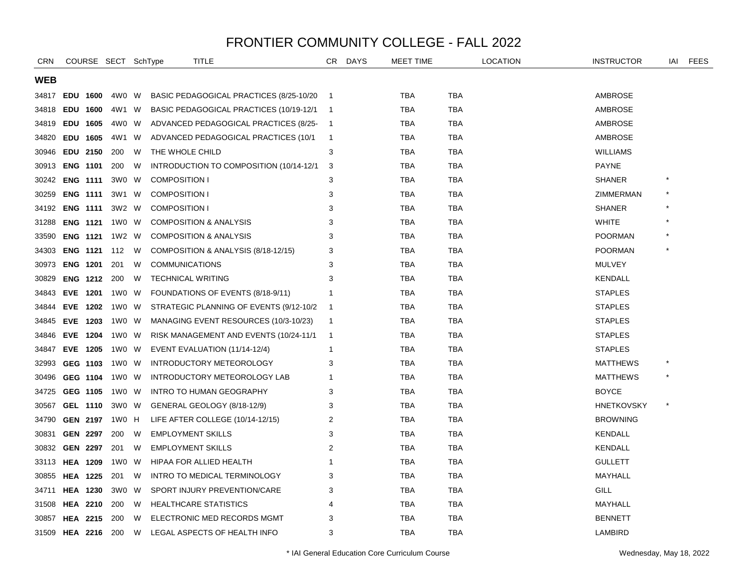| <b>CRN</b>     |                 |                 | COURSE SECT SchType   |   | <b>TITLE</b>                             |                          | CR DAYS | <b>MEET TIME</b> |            | <b>LOCATION</b> | <b>INSTRUCTOR</b> | IAI     | FEES |
|----------------|-----------------|-----------------|-----------------------|---|------------------------------------------|--------------------------|---------|------------------|------------|-----------------|-------------------|---------|------|
| <b>WEB</b>     |                 |                 |                       |   |                                          |                          |         |                  |            |                 |                   |         |      |
| 34817          |                 | EDU 1600        | 4W0 W                 |   | BASIC PEDAGOGICAL PRACTICES (8/25-10/20) | $\overline{1}$           |         | <b>TBA</b>       | <b>TBA</b> |                 | AMBROSE           |         |      |
| 34818          |                 | EDU 1600        | 4W1                   | W | BASIC PEDAGOGICAL PRACTICES (10/19-12/1  | $\overline{\phantom{1}}$ |         | TBA              | TBA        |                 | AMBROSE           |         |      |
| 34819          |                 | EDU 1605        | 4W0 W                 |   | ADVANCED PEDAGOGICAL PRACTICES (8/25-    | $\overline{1}$           |         | TBA              | TBA        |                 | AMBROSE           |         |      |
| 34820          |                 | EDU 1605        | 4W1                   | W | ADVANCED PEDAGOGICAL PRACTICES (10/1     | $\overline{1}$           |         | <b>TBA</b>       | <b>TBA</b> |                 | AMBROSE           |         |      |
| 30946          |                 | <b>EDU 2150</b> | 200                   | W | THE WHOLE CHILD                          | 3                        |         | <b>TBA</b>       | <b>TBA</b> |                 | <b>WILLIAMS</b>   |         |      |
| 30913          |                 | <b>ENG 1101</b> | 200                   | W | INTRODUCTION TO COMPOSITION (10/14-12/1  | -3                       |         | TBA              | <b>TBA</b> |                 | <b>PAYNE</b>      |         |      |
| 30242          |                 | <b>ENG 1111</b> | 3W0 W                 |   | <b>COMPOSITION I</b>                     | 3                        |         | TBA              | TBA        |                 | <b>SHANER</b>     | $\star$ |      |
| 30259          |                 | <b>ENG 1111</b> | 3W1 W                 |   | <b>COMPOSITION I</b>                     | 3                        |         | TBA              | TBA        |                 | ZIMMERMAN         |         |      |
| 34192          |                 | <b>ENG 1111</b> | 3W2 W                 |   | <b>COMPOSITION I</b>                     | 3                        |         | TBA              | <b>TBA</b> |                 | <b>SHANER</b>     |         |      |
| 31288          |                 | <b>ENG 1121</b> | 1W0 W                 |   | <b>COMPOSITION &amp; ANALYSIS</b>        | 3                        |         | TBA              | <b>TBA</b> |                 | <b>WHITE</b>      |         |      |
| 33590          |                 | <b>ENG 1121</b> | 1W2 W                 |   | <b>COMPOSITION &amp; ANALYSIS</b>        | 3                        |         | TBA              | TBA        |                 | <b>POORMAN</b>    |         |      |
| 34303          |                 |                 | <b>ENG 1121</b> 112   | W | COMPOSITION & ANALYSIS (8/18-12/15)      | 3                        |         | TBA              | <b>TBA</b> |                 | <b>POORMAN</b>    |         |      |
| 30973          |                 | <b>ENG 1201</b> | 201                   | W | <b>COMMUNICATIONS</b>                    | 3                        |         | <b>TBA</b>       | <b>TBA</b> |                 | <b>MULVEY</b>     |         |      |
| 30829          |                 | <b>ENG 1212</b> | 200                   | W | <b>TECHNICAL WRITING</b>                 | 3                        |         | TBA              | TBA        |                 | KENDALL           |         |      |
| 34843          |                 | EVE 1201        | 1W0 W                 |   | FOUNDATIONS OF EVENTS (8/18-9/11)        | -1                       |         | TBA              | TBA        |                 | <b>STAPLES</b>    |         |      |
| 34844          |                 | <b>EVE 1202</b> | 1W0 W                 |   | STRATEGIC PLANNING OF EVENTS (9/12-10/2) | - 1                      |         | TBA              | <b>TBA</b> |                 | <b>STAPLES</b>    |         |      |
| 34845          |                 | EVE 1203        | 1W0 W                 |   | MANAGING EVENT RESOURCES (10/3-10/23)    | $\overline{1}$           |         | TBA              | <b>TBA</b> |                 | <b>STAPLES</b>    |         |      |
| 34846          |                 | EVE 1204        | 1W0 W                 |   | RISK MANAGEMENT AND EVENTS (10/24-11/1)  | $\overline{1}$           |         | TBA              | TBA        |                 | <b>STAPLES</b>    |         |      |
| 34847          |                 | EVE 1205        | 1W0 W                 |   | EVENT EVALUATION (11/14-12/4)            | $\mathbf 1$              |         | TBA              | TBA        |                 | <b>STAPLES</b>    |         |      |
| 32993          |                 | GEG 1103        | 1W0 W                 |   | INTRODUCTORY METEOROLOGY                 | 3                        |         | TBA              | TBA        |                 | <b>MATTHEWS</b>   |         |      |
| 30496          |                 | GEG 1104        | 1W0 W                 |   | INTRODUCTORY METEOROLOGY LAB             | -1                       |         | <b>TBA</b>       | <b>TBA</b> |                 | <b>MATTHEWS</b>   |         |      |
| 34725          |                 | GEG 1105        | 1W0 W                 |   | <b>INTRO TO HUMAN GEOGRAPHY</b>          | 3                        |         | <b>TBA</b>       | <b>TBA</b> |                 | <b>BOYCE</b>      |         |      |
| 30567          |                 | <b>GEL 1110</b> | 3W0 W                 |   | GENERAL GEOLOGY (8/18-12/9)              | 3                        |         | TBA              | <b>TBA</b> |                 | <b>HNETKOVSKY</b> | $\star$ |      |
| 34790          |                 |                 | <b>GEN 2197</b> 1W0 H |   | LIFE AFTER COLLEGE (10/14-12/15)         | 2                        |         | TBA              | TBA        |                 | <b>BROWNING</b>   |         |      |
| 30831          |                 | <b>GEN 2297</b> | 200                   | W | <b>EMPLOYMENT SKILLS</b>                 | 3                        |         | TBA              | TBA        |                 | <b>KENDALL</b>    |         |      |
| 30832          |                 | <b>GEN 2297</b> | 201                   | W | <b>EMPLOYMENT SKILLS</b>                 | $\overline{c}$           |         | <b>TBA</b>       | <b>TBA</b> |                 | <b>KENDALL</b>    |         |      |
| 33113          |                 | <b>HEA 1209</b> | 1W0                   | W | HIPAA FOR ALLIED HEALTH                  | -1                       |         | <b>TBA</b>       | <b>TBA</b> |                 | <b>GULLETT</b>    |         |      |
| 30855          | <b>HEA 1225</b> |                 | 201                   | W | INTRO TO MEDICAL TERMINOLOGY             | 3                        |         | TBA              | <b>TBA</b> |                 | MAYHALL           |         |      |
| 34711          |                 | <b>HEA 1230</b> | 3W0 W                 |   | SPORT INJURY PREVENTION/CARE             | 3                        |         | TBA              | <b>TBA</b> |                 | <b>GILL</b>       |         |      |
| 31508          |                 | <b>HEA 2210</b> | 200                   | W | <b>HEALTHCARE STATISTICS</b>             | 4                        |         | TBA              | TBA        |                 | MAYHALL           |         |      |
| 30857          |                 | <b>HEA 2215</b> | 200                   | W | ELECTRONIC MED RECORDS MGMT              | 3                        |         | TBA              | TBA        |                 | <b>BENNETT</b>    |         |      |
| 31509 HEA 2216 |                 |                 | 200                   | W | LEGAL ASPECTS OF HEALTH INFO             | 3                        |         | <b>TBA</b>       | <b>TBA</b> |                 | LAMBIRD           |         |      |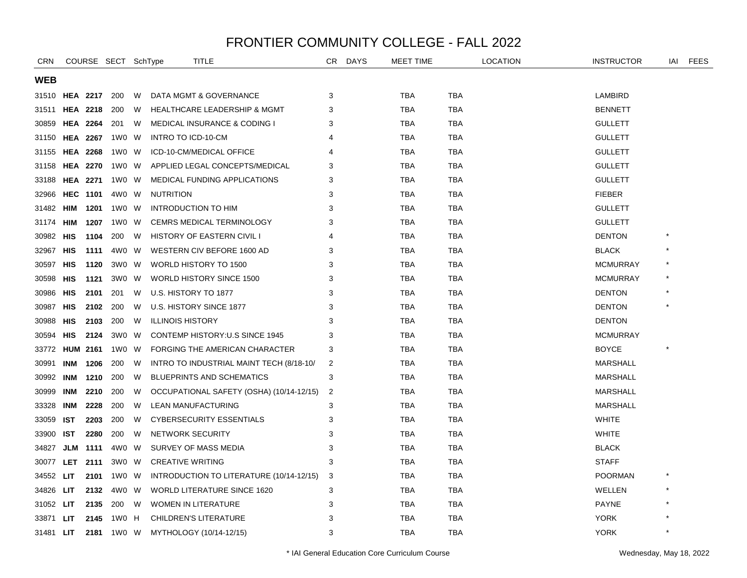| <b>CRN</b>            |            |                 | COURSE SECT SchType |   | TITLE                                    | CR | <b>DAYS</b> | MEET TIME  |            | <b>LOCATION</b> | <b>INSTRUCTOR</b> | IAI     | FEES |
|-----------------------|------------|-----------------|---------------------|---|------------------------------------------|----|-------------|------------|------------|-----------------|-------------------|---------|------|
| <b>WEB</b>            |            |                 |                     |   |                                          |    |             |            |            |                 |                   |         |      |
| 31510 <b>HEA 2217</b> |            |                 | 200                 | W | DATA MGMT & GOVERNANCE                   | 3  |             | <b>TBA</b> | <b>TBA</b> |                 | LAMBIRD           |         |      |
| 31511                 |            | <b>HEA 2218</b> | 200                 | W | <b>HEALTHCARE LEADERSHIP &amp; MGMT</b>  | 3  |             | <b>TBA</b> | TBA        |                 | <b>BENNETT</b>    |         |      |
| 30859                 |            | <b>HEA 2264</b> | 201                 | W | <b>MEDICAL INSURANCE &amp; CODING I</b>  | 3  |             | TBA        | TBA        |                 | <b>GULLETT</b>    |         |      |
| 31150                 |            | <b>HEA 2267</b> | 1W0 W               |   | INTRO TO ICD-10-CM                       | 4  |             | <b>TBA</b> | <b>TBA</b> |                 | <b>GULLETT</b>    |         |      |
| 31155                 |            | <b>HEA 2268</b> | 1W0 W               |   | ICD-10-CM/MEDICAL OFFICE                 | 4  |             | <b>TBA</b> | <b>TBA</b> |                 | <b>GULLETT</b>    |         |      |
| 31158                 |            | <b>HEA 2270</b> | 1W0 W               |   | APPLIED LEGAL CONCEPTS/MEDICAL           | 3  |             | <b>TBA</b> | <b>TBA</b> |                 | <b>GULLETT</b>    |         |      |
| 33188                 |            | <b>HEA 2271</b> | 1W0 W               |   | MEDICAL FUNDING APPLICATIONS             | 3  |             | TBA        | TBA        |                 | <b>GULLETT</b>    |         |      |
| 32966                 |            | <b>HEC 1101</b> | 4W0 W               |   | <b>NUTRITION</b>                         | 3  |             | <b>TBA</b> | TBA        |                 | <b>FIEBER</b>     |         |      |
| 31482                 | HIM        | 1201            | 1W0 W               |   | <b>INTRODUCTION TO HIM</b>               | 3  |             | <b>TBA</b> | <b>TBA</b> |                 | <b>GULLETT</b>    |         |      |
| 31174                 | HIM        | 1207            | 1W0                 | W | <b>CEMRS MEDICAL TERMINOLOGY</b>         | 3  |             | <b>TBA</b> | TBA        |                 | <b>GULLETT</b>    |         |      |
| 30982                 | HIS        | 1104            | 200                 | W | <b>HISTORY OF EASTERN CIVIL I</b>        | 4  |             | TBA        | TBA        |                 | <b>DENTON</b>     |         |      |
| 32967                 | <b>HIS</b> | 1111            | 4W0 W               |   | WESTERN CIV BEFORE 1600 AD               | 3  |             | <b>TBA</b> | <b>TBA</b> |                 | <b>BLACK</b>      |         |      |
| 30597                 | HIS        | 1120            | 3W0 W               |   | WORLD HISTORY TO 1500                    | 3  |             | <b>TBA</b> | <b>TBA</b> |                 | <b>MCMURRAY</b>   |         |      |
| 30598                 | HIS        | 1121            | 3W0                 | W | <b>WORLD HISTORY SINCE 1500</b>          | 3  |             | <b>TBA</b> | <b>TBA</b> |                 | <b>MCMURRAY</b>   |         |      |
| 30986                 | HIS        | 2101            | 201                 | W | U.S. HISTORY TO 1877                     | 3  |             | <b>TBA</b> | <b>TBA</b> |                 | <b>DENTON</b>     |         |      |
| 30987                 | HIS        | 2102            | 200                 | W | U.S. HISTORY SINCE 1877                  | 3  |             | <b>TBA</b> | <b>TBA</b> |                 | <b>DENTON</b>     | $\star$ |      |
| 30988                 | HIS        | 2103            | 200                 | W | <b>ILLINOIS HISTORY</b>                  | 3  |             | <b>TBA</b> | <b>TBA</b> |                 | <b>DENTON</b>     |         |      |
| 30594                 | <b>HIS</b> | 2124            | 3W0 W               |   | <b>CONTEMP HISTORY: U.S SINCE 1945</b>   | 3  |             | <b>TBA</b> | <b>TBA</b> |                 | <b>MCMURRAY</b>   |         |      |
| 33772                 |            | <b>HUM 2161</b> | 1W0 W               |   | FORGING THE AMERICAN CHARACTER           | 3  |             | <b>TBA</b> | TBA        |                 | <b>BOYCE</b>      |         |      |
| 30991                 | INM        | 1206            | 200                 | W | INTRO TO INDUSTRIAL MAINT TECH (8/18-10/ | 2  |             | <b>TBA</b> | <b>TBA</b> |                 | <b>MARSHALL</b>   |         |      |
| 30992                 | INM        | 1210            | 200                 | W | <b>BLUEPRINTS AND SCHEMATICS</b>         | 3  |             | <b>TBA</b> | TBA        |                 | <b>MARSHALL</b>   |         |      |
| 30999                 | INM        | 2210            | 200                 | W | OCCUPATIONAL SAFETY (OSHA) (10/14-12/15) | 2  |             | <b>TBA</b> | <b>TBA</b> |                 | <b>MARSHALL</b>   |         |      |
| 33328                 | INM        | 2228            | 200                 | W | LEAN MANUFACTURING                       | 3  |             | <b>TBA</b> | TBA        |                 | <b>MARSHALL</b>   |         |      |
| 33059                 | <b>IST</b> | 2203            | 200                 | W | <b>CYBERSECURITY ESSENTIALS</b>          | 3  |             | <b>TBA</b> | <b>TBA</b> |                 | <b>WHITE</b>      |         |      |
| 33900                 | IST        | 2280            | 200                 | W | NETWORK SECURITY                         | 3  |             | <b>TBA</b> | <b>TBA</b> |                 | <b>WHITE</b>      |         |      |
| 34827                 | JLM        | 1111            | 4W0 W               |   | SURVEY OF MASS MEDIA                     | 3  |             | <b>TBA</b> | <b>TBA</b> |                 | <b>BLACK</b>      |         |      |
| 30077                 |            | LET 2111        | 3W0 W               |   | <b>CREATIVE WRITING</b>                  | 3  |             | <b>TBA</b> | <b>TBA</b> |                 | <b>STAFF</b>      |         |      |
| 34552                 | LIT.       | 2101            | 1W0 W               |   | INTRODUCTION TO LITERATURE (10/14-12/15) | 3  |             | TBA        | TBA        |                 | <b>POORMAN</b>    |         |      |
| 34826                 | LIT.       | 2132            | 4W0 W               |   | <b>WORLD LITERATURE SINCE 1620</b>       | 3  |             | TBA        | <b>TBA</b> |                 | WELLEN            |         |      |
| 31052                 | LIT.       | 2135            | 200                 | W | <b>WOMEN IN LITERATURE</b>               | 3  |             | <b>TBA</b> | TBA        |                 | <b>PAYNE</b>      |         |      |
| 33871                 | <b>LIT</b> | 2145            | 1W0 H               |   | <b>CHILDREN'S LITERATURE</b>             | 3  |             | <b>TBA</b> | <b>TBA</b> |                 | <b>YORK</b>       |         |      |
| 31481 LIT             |            |                 | 2181 1W0 W          |   | MYTHOLOGY (10/14-12/15)                  | 3  |             | <b>TBA</b> | <b>TBA</b> |                 | <b>YORK</b>       | $\star$ |      |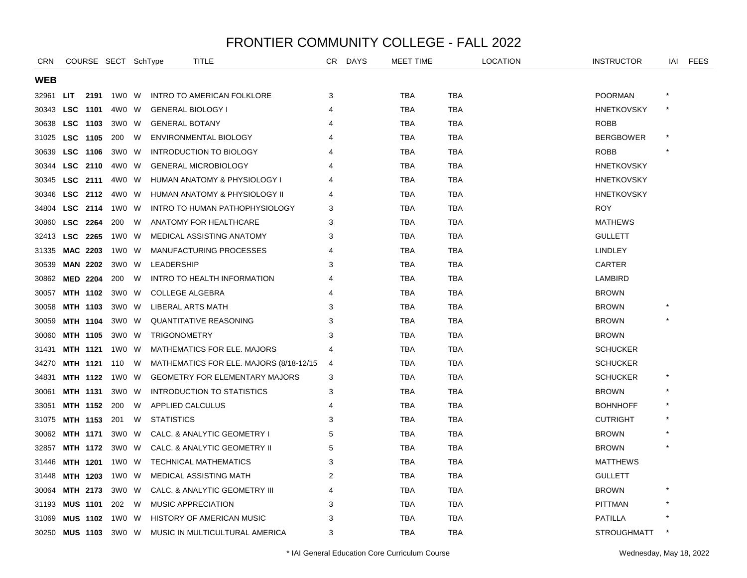| <b>CRN</b> |            |                 | COURSE SECT SchType |   | TITLE                                   | CR | <b>DAYS</b> | MEET TIME  |            | <b>LOCATION</b> | <b>INSTRUCTOR</b>  | IAI | <b>FEES</b> |
|------------|------------|-----------------|---------------------|---|-----------------------------------------|----|-------------|------------|------------|-----------------|--------------------|-----|-------------|
| <b>WEB</b> |            |                 |                     |   |                                         |    |             |            |            |                 |                    |     |             |
| 32961      | LIT.       | 2191            | 1W0 W               |   | INTRO TO AMERICAN FOLKLORE              | 3  |             | TBA        | <b>TBA</b> |                 | <b>POORMAN</b>     |     |             |
| 30343      |            | LSC 1101        | 4W0 W               |   | <b>GENERAL BIOLOGY I</b>                | 4  |             | <b>TBA</b> | <b>TBA</b> |                 | <b>HNETKOVSKY</b>  |     |             |
| 30638      |            | LSC 1103        | 3W0 W               |   | <b>GENERAL BOTANY</b>                   |    |             | TBA        | TBA        |                 | ROBB               |     |             |
| 31025      |            | LSC 1105        | 200                 | W | <b>ENVIRONMENTAL BIOLOGY</b>            |    |             | <b>TBA</b> | <b>TBA</b> |                 | <b>BERGBOWER</b>   |     |             |
| 30639      | <b>LSC</b> | 1106            | 3W0 W               |   | <b>INTRODUCTION TO BIOLOGY</b>          |    |             | <b>TBA</b> | <b>TBA</b> |                 | <b>ROBB</b>        |     |             |
| 30344      |            | LSC 2110        | 4W0 W               |   | <b>GENERAL MICROBIOLOGY</b>             |    |             | <b>TBA</b> | <b>TBA</b> |                 | <b>HNETKOVSKY</b>  |     |             |
| 30345      |            | LSC 2111        | 4W0 W               |   | HUMAN ANATOMY & PHYSIOLOGY I            |    |             | <b>TBA</b> | <b>TBA</b> |                 | <b>HNETKOVSKY</b>  |     |             |
| 30346      |            | LSC 2112        | 4W0 W               |   | HUMAN ANATOMY & PHYSIOLOGY II           |    |             | <b>TBA</b> | <b>TBA</b> |                 | <b>HNETKOVSKY</b>  |     |             |
| 34804      |            | LSC 2114        | 1W0 W               |   | INTRO TO HUMAN PATHOPHYSIOLOGY          | 3  |             | TBA        | TBA        |                 | <b>ROY</b>         |     |             |
| 30860      | <b>LSC</b> | 2264            | 200                 | W | ANATOMY FOR HEALTHCARE                  | 3  |             | TBA        | TBA        |                 | <b>MATHEWS</b>     |     |             |
| 32413      | <b>LSC</b> | 2265            | 1W0 W               |   | MEDICAL ASSISTING ANATOMY               | 3  |             | <b>TBA</b> | <b>TBA</b> |                 | <b>GULLETT</b>     |     |             |
| 31335      |            | <b>MAC 2203</b> | 1W0 W               |   | MANUFACTURING PROCESSES                 | 4  |             | <b>TBA</b> | <b>TBA</b> |                 | <b>LINDLEY</b>     |     |             |
| 30539      |            | <b>MAN 2202</b> | 3W0 W               |   | LEADERSHIP                              | 3  |             | <b>TBA</b> | <b>TBA</b> |                 | CARTER             |     |             |
| 30862      |            | <b>MED 2204</b> | 200                 | W | INTRO TO HEALTH INFORMATION             |    |             | TBA        | TBA        |                 | LAMBIRD            |     |             |
| 30057      |            | MTH 1102        | 3W0 W               |   | <b>COLLEGE ALGEBRA</b>                  |    |             | TBA        | TBA        |                 | <b>BROWN</b>       |     |             |
| 30058      |            | MTH 1103        | 3W0 W               |   | LIBERAL ARTS MATH                       | 3  |             | TBA        | TBA        |                 | <b>BROWN</b>       |     |             |
| 30059      |            | <b>MTH 1104</b> | 3WO W               |   | QUANTITATIVE REASONING                  | 3  |             | <b>TBA</b> | <b>TBA</b> |                 | <b>BROWN</b>       |     |             |
| 30060      |            | MTH 1105        | 3W0 W               |   | <b>TRIGONOMETRY</b>                     | 3  |             | <b>TBA</b> | <b>TBA</b> |                 | <b>BROWN</b>       |     |             |
| 31431      |            | <b>MTH 1121</b> | 1W0 W               |   | <b>MATHEMATICS FOR ELE. MAJORS</b>      | 4  |             | <b>TBA</b> | <b>TBA</b> |                 | <b>SCHUCKER</b>    |     |             |
| 34270      |            | <b>MTH 1121</b> | 110                 | W | MATHEMATICS FOR ELE. MAJORS (8/18-12/15 | 4  |             | <b>TBA</b> | <b>TBA</b> |                 | <b>SCHUCKER</b>    |     |             |
| 34831      |            | MTH 1122        | 1W0 W               |   | <b>GEOMETRY FOR ELEMENTARY MAJORS</b>   | 3  |             | TBA        | <b>TBA</b> |                 | <b>SCHUCKER</b>    |     |             |
| 30061      |            | <b>MTH 1131</b> | 3W0 W               |   | INTRODUCTION TO STATISTICS              | 3  |             | TBA        | TBA        |                 | <b>BROWN</b>       |     |             |
| 33051      |            | MTH 1152        | 200                 | W | APPLIED CALCULUS                        |    |             | <b>TBA</b> | <b>TBA</b> |                 | <b>BOHNHOFF</b>    |     |             |
| 31075      |            | MTH 1153        | 201                 | W | <b>STATISTICS</b>                       | 3  |             | <b>TBA</b> | <b>TBA</b> |                 | <b>CUTRIGHT</b>    |     |             |
| 30062      |            | <b>MTH 1171</b> | 3W0 W               |   | CALC. & ANALYTIC GEOMETRY I             | 5  |             | <b>TBA</b> | <b>TBA</b> |                 | <b>BROWN</b>       |     |             |
| 32857      |            | MTH 1172        | 3W0 W               |   | CALC. & ANALYTIC GEOMETRY II            | 5  |             | TBA        | TBA        |                 | <b>BROWN</b>       |     |             |
| 31446      |            | <b>MTH 1201</b> | 1W0 W               |   | <b>TECHNICAL MATHEMATICS</b>            | 3  |             | <b>TBA</b> | <b>TBA</b> |                 | <b>MATTHEWS</b>    |     |             |
| 31448      |            | MTH 1203        | 1W0 W               |   | <b>MEDICAL ASSISTING MATH</b>           | 2  |             | TBA        | <b>TBA</b> |                 | <b>GULLETT</b>     |     |             |
| 30064      |            | MTH 2173        | 3W0 W               |   | CALC. & ANALYTIC GEOMETRY III           | 4  |             | TBA        | TBA        |                 | <b>BROWN</b>       |     |             |
| 31193      |            | <b>MUS 1101</b> | 202                 | W | MUSIC APPRECIATION                      | 3  |             | TBA        | <b>TBA</b> |                 | <b>PITTMAN</b>     |     |             |
| 31069      |            | <b>MUS 1102</b> | 1W0 W               |   | <b>HISTORY OF AMERICAN MUSIC</b>        | 3  |             | TBA        | <b>TBA</b> |                 | <b>PATILLA</b>     |     |             |
| 30250      |            | <b>MUS 1103</b> | 3W0 W               |   | MUSIC IN MULTICULTURAL AMERICA          | 3  |             | <b>TBA</b> | <b>TBA</b> |                 | <b>STROUGHMATT</b> |     |             |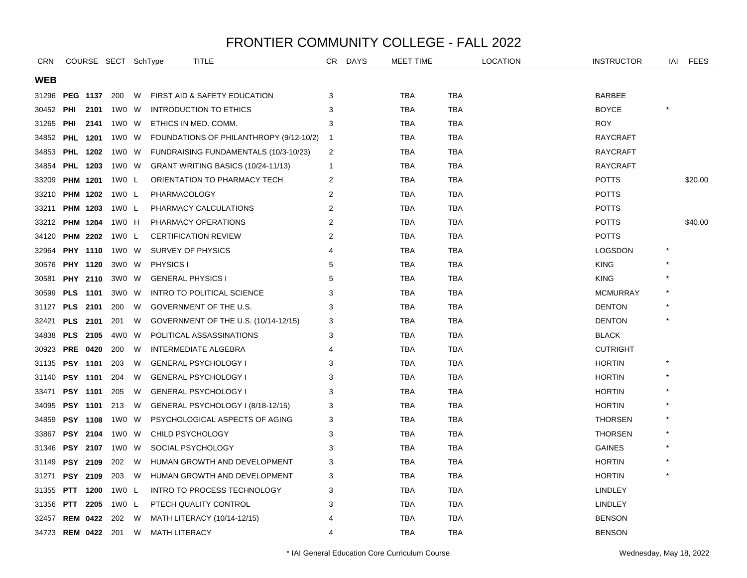| <b>CRN</b>         |     |                 | COURSE SECT SchType |   | TITLE                                   | CR             | <b>DAYS</b> | MEET TIME  |            | <b>LOCATION</b> | <b>INSTRUCTOR</b> | IAI | <b>FEES</b> |
|--------------------|-----|-----------------|---------------------|---|-----------------------------------------|----------------|-------------|------------|------------|-----------------|-------------------|-----|-------------|
| <b>WEB</b>         |     |                 |                     |   |                                         |                |             |            |            |                 |                   |     |             |
| 31296              |     | <b>PEG 1137</b> | 200                 | W | FIRST AID & SAFETY EDUCATION            | 3              |             | <b>TBA</b> | <b>TBA</b> |                 | <b>BARBEE</b>     |     |             |
| 30452              | PHI | 2101            | 1W0 W               |   | INTRODUCTION TO ETHICS                  | 3              |             | TBA        | TBA        |                 | <b>BOYCE</b>      |     |             |
| 31265              | PHI | 2141            | 1W0 W               |   | ETHICS IN MED. COMM.                    | 3              |             | <b>TBA</b> | <b>TBA</b> |                 | <b>ROY</b>        |     |             |
| 34852              |     | <b>PHL 1201</b> | 1W0 W               |   | FOUNDATIONS OF PHILANTHROPY (9/12-10/2) | -1             |             | <b>TBA</b> | <b>TBA</b> |                 | <b>RAYCRAFT</b>   |     |             |
| 34853              |     | <b>PHL 1202</b> | 1W0 W               |   | FUNDRAISING FUNDAMENTALS (10/3-10/23)   | 2              |             | <b>TBA</b> | <b>TBA</b> |                 | <b>RAYCRAFT</b>   |     |             |
| 34854              |     | <b>PHL 1203</b> | 1W0 W               |   | GRANT WRITING BASICS (10/24-11/13)      | $\mathbf 1$    |             | <b>TBA</b> | <b>TBA</b> |                 | <b>RAYCRAFT</b>   |     |             |
| 33209              |     | PHM 1201        | 1W0 L               |   | ORIENTATION TO PHARMACY TECH            | 2              |             | <b>TBA</b> | <b>TBA</b> |                 | <b>POTTS</b>      |     | \$20.00     |
| 33210              |     | <b>PHM 1202</b> | 1W0 L               |   | PHARMACOLOGY                            | 2              |             | <b>TBA</b> | <b>TBA</b> |                 | <b>POTTS</b>      |     |             |
| 33211              |     | PHM 1203        | 1W0 L               |   | PHARMACY CALCULATIONS                   | $\overline{2}$ |             | TBA        | TBA        |                 | <b>POTTS</b>      |     |             |
| 33212              |     | <b>PHM 1204</b> | 1W0 H               |   | PHARMACY OPERATIONS                     | $\overline{2}$ |             | TBA        | TBA        |                 | POTTS             |     | \$40.00     |
| 34120              |     | <b>PHM 2202</b> | 1W0 L               |   | <b>CERTIFICATION REVIEW</b>             | 2              |             | <b>TBA</b> | <b>TBA</b> |                 | <b>POTTS</b>      |     |             |
| 32964              |     | <b>PHY 1110</b> | 1W0 W               |   | <b>SURVEY OF PHYSICS</b>                | 4              |             | <b>TBA</b> | <b>TBA</b> |                 | <b>LOGSDON</b>    |     |             |
| 30576              |     | <b>PHY 1120</b> | 3W0 W               |   | <b>PHYSICS I</b>                        | 5              |             | TBA        | TBA        |                 | <b>KING</b>       |     |             |
| 30581              |     | <b>PHY 2110</b> | 3W0 W               |   | <b>GENERAL PHYSICS I</b>                | 5              |             | <b>TBA</b> | TBA        |                 | <b>KING</b>       |     |             |
| 30599              |     | <b>PLS</b> 1101 | 3W0 W               |   | <b>INTRO TO POLITICAL SCIENCE</b>       | 3              |             | <b>TBA</b> | <b>TBA</b> |                 | <b>MCMURRAY</b>   |     |             |
| 31127              |     | PLS 2101        | 200                 | W | GOVERNMENT OF THE U.S.                  | 3              |             | <b>TBA</b> | <b>TBA</b> |                 | <b>DENTON</b>     |     |             |
| 32421              |     | <b>PLS 2101</b> | 201                 | W | GOVERNMENT OF THE U.S. (10/14-12/15)    | 3              |             | TBA        | TBA        |                 | <b>DENTON</b>     |     |             |
| 34838              |     | <b>PLS 2105</b> | 4W0 W               |   | POLITICAL ASSASSINATIONS                | 3              |             | TBA        | TBA        |                 | <b>BLACK</b>      |     |             |
| 30923              |     | <b>PRE 0420</b> | 200                 | W | <b>INTERMEDIATE ALGEBRA</b>             | 4              |             | <b>TBA</b> | <b>TBA</b> |                 | <b>CUTRIGHT</b>   |     |             |
| 31135              |     | <b>PSY 1101</b> | 203                 | W | <b>GENERAL PSYCHOLOGY I</b>             | 3              |             | <b>TBA</b> | <b>TBA</b> |                 | <b>HORTIN</b>     |     |             |
| 31140              |     | <b>PSY 1101</b> | 204                 | W | <b>GENERAL PSYCHOLOGY I</b>             | 3              |             | <b>TBA</b> | TBA        |                 | <b>HORTIN</b>     |     |             |
| 33471              |     | <b>PSY 1101</b> | 205                 | W | <b>GENERAL PSYCHOLOGY I</b>             | 3              |             | TBA        | TBA        |                 | <b>HORTIN</b>     |     |             |
| 34095              |     | <b>PSY 1101</b> | 213                 | W | GENERAL PSYCHOLOGY I (8/18-12/15)       | 3              |             | <b>TBA</b> | <b>TBA</b> |                 | <b>HORTIN</b>     |     |             |
| 34859              |     | <b>PSY 1108</b> | 1W0 W               |   | PSYCHOLOGICAL ASPECTS OF AGING          | 3              |             | <b>TBA</b> | <b>TBA</b> |                 | <b>THORSEN</b>    |     |             |
| 33867              |     | <b>PSY 2104</b> | 1W0 W               |   | CHILD PSYCHOLOGY                        | 3              |             | <b>TBA</b> | <b>TBA</b> |                 | <b>THORSEN</b>    |     |             |
| 31346              |     | <b>PSY 2107</b> | 1W0 W               |   | SOCIAL PSYCHOLOGY                       | 3              |             | <b>TBA</b> | <b>TBA</b> |                 | <b>GAINES</b>     |     |             |
| 31149              |     | <b>PSY 2109</b> | 202                 | W | HUMAN GROWTH AND DEVELOPMENT            | 3              |             | <b>TBA</b> | <b>TBA</b> |                 | <b>HORTIN</b>     |     |             |
| 31271              |     | <b>PSY 2109</b> | 203                 | W | HUMAN GROWTH AND DEVELOPMENT            | 3              |             | <b>TBA</b> | TBA        |                 | <b>HORTIN</b>     |     |             |
| 31355              |     | PTT 1200        | 1W0 L               |   | INTRO TO PROCESS TECHNOLOGY             | 3              |             | <b>TBA</b> | <b>TBA</b> |                 | <b>LINDLEY</b>    |     |             |
| 31356              | PTT | 2205            | 1W0 L               |   | PTECH QUALITY CONTROL                   | 3              |             | <b>TBA</b> | <b>TBA</b> |                 | <b>LINDLEY</b>    |     |             |
| 32457              |     | <b>REM 0422</b> | 202                 | W | MATH LITERACY (10/14-12/15)             |                |             | <b>TBA</b> | TBA        |                 | <b>BENSON</b>     |     |             |
| 34723 REM 0422 201 |     |                 |                     | W | <b>MATH LITERACY</b>                    | $\overline{4}$ |             | <b>TBA</b> | <b>TBA</b> |                 | <b>BENSON</b>     |     |             |